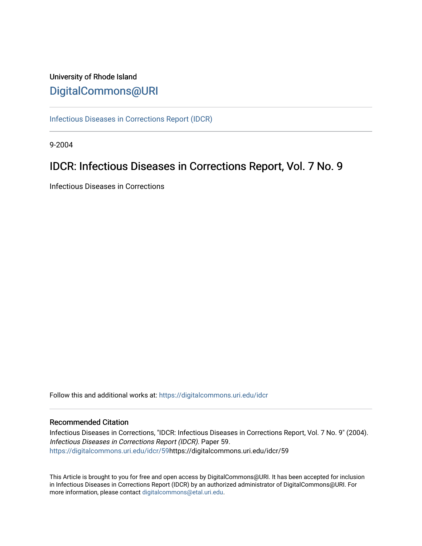# University of Rhode Island [DigitalCommons@URI](https://digitalcommons.uri.edu/)

[Infectious Diseases in Corrections Report \(IDCR\)](https://digitalcommons.uri.edu/idcr)

9-2004

# IDCR: Infectious Diseases in Corrections Report, Vol. 7 No. 9

Infectious Diseases in Corrections

Follow this and additional works at: [https://digitalcommons.uri.edu/idcr](https://digitalcommons.uri.edu/idcr?utm_source=digitalcommons.uri.edu%2Fidcr%2F59&utm_medium=PDF&utm_campaign=PDFCoverPages)

## Recommended Citation

Infectious Diseases in Corrections, "IDCR: Infectious Diseases in Corrections Report, Vol. 7 No. 9" (2004). Infectious Diseases in Corrections Report (IDCR). Paper 59. [https://digitalcommons.uri.edu/idcr/59h](https://digitalcommons.uri.edu/idcr/59?utm_source=digitalcommons.uri.edu%2Fidcr%2F59&utm_medium=PDF&utm_campaign=PDFCoverPages)ttps://digitalcommons.uri.edu/idcr/59

This Article is brought to you for free and open access by DigitalCommons@URI. It has been accepted for inclusion in Infectious Diseases in Corrections Report (IDCR) by an authorized administrator of DigitalCommons@URI. For more information, please contact [digitalcommons@etal.uri.edu.](mailto:digitalcommons@etal.uri.edu)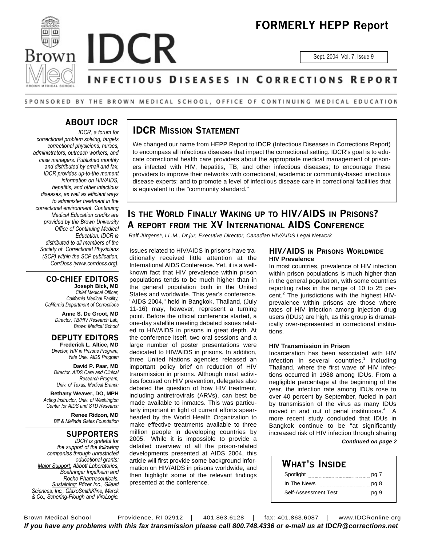

# **FORMERLY HEPP Report**

Sept. 2004 Vol. 7, Issue 9

## NFECTIOUS DISEASES IN CORRECTIONS REPORT

### SPONSORED BY THE BROWN MEDICAL SCHOOL, OFFICE OF CONTINUING MEDICAL EDUCATION

## **ABOUT IDCR**

*IDCR, a forum for correctional problem solving, targets correctional physicians, nurses, administrators, outreach workers, and case managers. Published monthly and distributed by email and fax, IDCR provides up-to-the moment information on HIV/AIDS, hepatitis, and other infectious diseases, as well as efficient ways to administer treatment in the correctional environment. Continuing Medical Education credits are provided by the Brown University Office of Continuing Medical Education. IDCR is distributed to all members of the Society of Correctional Physicians (SCP) within the SCP publication, CorrDocs (www.corrdocs.org).*

## **CO-CHIEF EDITORS**

**Joseph Bick, MD** *Chief Medical Officer, California Medical Facility, California Department of Corrections*

> **Anne S. De Groot, MD** *Director, TB/HIV Research Lab, Brown Medical School*

#### **DEPUTY EDITORS Frederick L. Altice, MD**

*Director, HIV in Prisons Program, Yale Univ. AIDS Program*

**David P. Paar, MD** *Director, AIDS Care and Clinical Research Program, Univ. of Texas, Medical Branch*

**Bethany Weaver, DO, MPH** *Acting Instructor, Univ. of Washington Center for AIDS and STD Research*

> **Renee Ridzon, MD** *Bill & Melinda Gates Foundation*

## **SUPPORTERS**

*IDCR is grateful for the support of the following companies through unrestricted educational grants: Major Support: Abbott Laboratories, Boehringer Ingelheim and Roche Pharmaceuticals. Sustaining: Pfizer Inc., Gilead Sciences, Inc., GlaxoSmithKline, Merck & Co., Schering-Plough and ViroLogic.*

## **IDCR MISSION STATEMENT**

We changed our name from HEPP Report to IDCR (Infectious Diseases in Corrections Report) to encompass all infectious diseases that impact the correctional setting. IDCR's goal is to educate correctional health care providers about the appropriate medical management of prisoners infected with HIV, hepatitis, TB, and other infectious diseases; to encourage these providers to improve their networks with correctional, academic or community-based infectious disease experts; and to promote a level of infectious disease care in correctional facilities that is equivalent to the "community standard."

## **IS THE WORLD FINALLY WAKING UP TO HIV/AIDS IN PRISONS? A REPORT FROM THE XV INTERNATIONAL AIDS CONFERENCE**

*Ralf Jürgens\*, LL.M., Dr.jur, Executive Director, Canadian HIV/AIDS Legal Network*

Issues related to HIV/AIDS in prisons have traditionally received little attention at the International AIDS Conference. Yet, it is a wellknown fact that HIV prevalence within prison populations tends to be much higher than in the general population both in the United States and worldwide. This year's conference, "AIDS 2004," held in Bangkok, Thailand, (July 11-16) may, however, represent a turning point. Before the official conference started, a one-day satellite meeting debated issues related to HIV/AIDS in prisons in great depth. At the conference itself, two oral sessions and a large number of poster presentations were dedicated to HIV/AIDS in prisons. In addition, three United Nations agencies released an important policy brief on reduction of HIV transmission in prisons. Although most activities focused on HIV prevention, delegates also debated the question of how HIV treatment, including antiretrovirals (ARVs), can best be made available to inmates. This was particularly important in light of current efforts spearheaded by the World Health Organization to make effective treatments available to three million people in developing countries by 2005.<sup>1</sup> While it is impossible to provide a detailed overview of all the prison-related developments presented at AIDS 2004, this article will first provide some background information on HIV/AIDS in prisons worldwide, and then highlight some of the relevant findings presented at the conference.

### **HIV/AIDS IN PRISONS WORLDWIDE HIV Prevalence**

In most countries, prevalence of HIV infection within prison populations is much higher than in the general population, with some countries reporting rates in the range of 10 to 25 percent.<sup>2</sup> The jurisdictions with the highest HIVprevalence within prisons are those where rates of HIV infection among injection drug users (IDUs) are high, as this group is dramatically over-represented in correctional institutions.

### **HIV Transmission in Prison**

Incarceration has been associated with HIV infection in several countries, $^3$  including Thailand, where the first wave of HIV infections occurred in 1988 among IDUs. From a negligible percentage at the beginning of the year, the infection rate among IDUs rose to over 40 percent by September, fueled in part by transmission of the virus as many IDUs moved in and out of penal institutions.<sup>4</sup> A more recent study concluded that IDUs in Bangkok continue to be "at significantly increased risk of HIV infection through sharing

### *Continued on page 2*

| WHAT'S INSIDE        |      |
|----------------------|------|
| Spotlight            | pg 7 |
| In The News          | pg 8 |
| Self-Assessment Test | pg 9 |

Brown Medical School | Providence, RI 02912 | 401.863.6128 | fax: 401.863.6087 | www.IDCRonline.org *If you have any problems with this fax transmission please call 800.748.4336 or e-mail us at IDCR@corrections.net*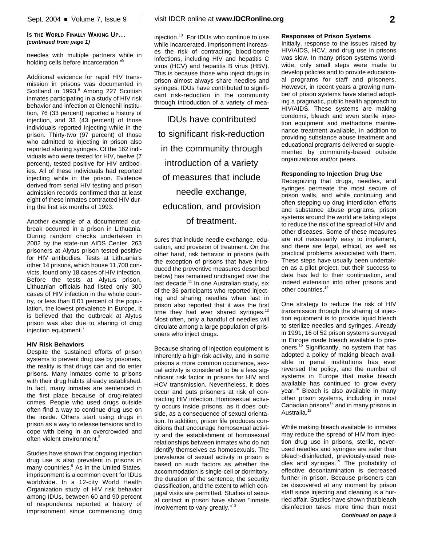### **IS THE WORLD FINALLY WAKING UP...** *(continued from page 1)*

needles with multiple partners while in holding cells before incarceration."<sup>5</sup>

Additional evidence for rapid HIV transmission in prisons was documented in Scotland in 1993.<sup>6</sup> Among 227 Scottish inmates participating in a study of HIV risk behavior and infection at Glenochil institution, 76 (33 percent) reported a history of injection, and 33 (43 percent) of those individuals reported injecting while in the prison. Thirty-two (97 percent) of those who admitted to injecting in prison also reported sharing syringes. Of the 162 individuals who were tested for HIV, twelve (7 percent), tested positive for HIV antibodies. All of these individuals had reported injecting while in the prison. Evidence derived from serial HIV testing and prison admission records confirmed that at least eight of these inmates contracted HIV during the first six months of 1993.

Another example of a documented outbreak occurred in a prison in Lithuania. During random checks undertaken in 2002 by the state-run AIDS Center, 263 prisoners at Alytus prison tested positive for HIV antibodies. Tests at Lithuania's other 14 prisons, which house 11,700 convicts, found only 18 cases of HIV infection. Before the tests at Alytus prison, Lithuanian officials had listed only 300 cases of HIV infection in the whole country, or less than 0.01 percent of the population, the lowest prevalence in Europe. It is believed that the outbreak at Alytus prison was also due to sharing of drug injection equipment. 7

### **HIV Risk Behaviors**

Despite the sustained efforts of prison systems to prevent drug use by prisoners, the reality is that drugs can and do enter prisons. Many inmates come to prisons with their drug habits already established. In fact, many inmates are sentenced in the first place because of drug-related crimes. People who used drugs outside often find a way to continue drug use on the inside. Others start using drugs in prison as a way to release tensions and to cope with being in an overcrowded and often violent environment.<sup>8</sup>

Studies have shown that ongoing injection drug use is also prevalent in prisons in many countries.<sup>9</sup> As in the United States, imprisonment is a common event for IDUs worldwide. In a 12-city World Health Organization study of HIV risk behavior among IDUs, between 60 and 90 percent of respondents reported a history of imprisonment since commencing drug

injection. 10 For IDUs who continue to use while incarcerated, imprisonment increases the risk of contracting blood-borne infections, including HIV and hepatitis C virus (HCV) and hepatitis B virus (HBV). This is because those who inject drugs in prison almost always share needles and syringes. IDUs have contributed to significant risk-reduction in the community through introduction of a variety of mea-

IDUs have contributed to significant risk-reduction in the community through introduction of a variety of measures that include needle exchange, education, and provision of treatment.

sures that include needle exchange, education, and provision of treatment. On the other hand, risk behavior in prisons (with the exception of prisons that have introduced the preventive measures described below) has remained unchanged over the last decade.<sup>11</sup> In one Australian study, six of the 36 participants who reported injecting and sharing needles when last in prison also reported that it was the first time they had ever shared syringes.<sup>12</sup> Most often, only a handful of needles will circulate among a large population of prisoners who inject drugs.

Because sharing of injection equipment is inherently a high-risk activity, and in some prisons a more common occurrence, sexual activity is considered to be a less significant risk factor in prisons for HIV and HCV transmission. Nevertheless, it does occur and puts prisoners at risk of contracting HIV infection. Homosexual activity occurs inside prisons, as it does outside, as a consequence of sexual orientation. In addition, prison life produces conditions that encourage homosexual activity and the establishment of homosexual relationships between inmates who do not identify themselves as homosexuals. The prevalence of sexual activity in prison is based on such factors as whether the accommodation is single-cell or dormitory, the duration of the sentence, the security classification, and the extent to which conjugal visits are permitted. Studies of sexual contact in prison have shown "inmate involvement to vary greatly."<sup>13</sup>

## **Responses of Prison Systems**

Initially, response to the issues raised by HIV/AIDS, HCV, and drug use in prisons was slow. In many prison systems worldwide, only small steps were made to develop policies and to provide educational programs for staff and prisoners. However, in recent years a growing number of prison systems have started adopting a pragmatic, public health approach to HIV/AIDS. These systems are making condoms, bleach and even sterile injection equipment and methadone maintenance treatment available, in addition to providing substance abuse treatment and educational programs delivered or supplemented by community-based outside organizations and/or peers.

### **Responding to Injection Drug Use**

Recognizing that drugs, needles, and syringes permeate the most secure of prison walls, and while continuing and often stepping up drug interdiction efforts and substance abuse programs, prison systems around the world are taking steps to reduce the risk of the spread of HIV and other diseases. Some of these measures are not necessarily easy to implement, and there are legal, ethical, as well as practical problems associated with them. These steps have usually been undertaken as a pilot project, but their success to date has led to their continuation, and indeed extension into other prisons and other countries.<sup>14</sup>

One strategy to reduce the risk of HIV transmission through the sharing of injection equipment is to provide liquid bleach to sterilize needles and syringes. Already in 1991, 16 of 52 prison systems surveyed in Europe made bleach available to prisoners. <sup>15</sup> Significantly, no system that has adopted a policy of making bleach available in penal institutions has ever reversed the policy, and the number of systems in Europe that make bleach available has continued to grow every year. <sup>16</sup> Bleach is also available in many other prison systems, including in most Canadian prisons<sup>17</sup> and in many prisons in Australia.<sup>18</sup>

While making bleach available to inmates may reduce the spread of HIV from injection drug use in prisons, sterile, neverused needles and syringes are safer than bleach-disinfected, previously-used needles and syringes.<sup>19</sup> The probability of effective decontamination is decreased further in prison. Because prisoners can be discovered at any moment by prison staff since injecting and cleaning is a hurried affair. Studies have shown that bleach disinfection takes more time than most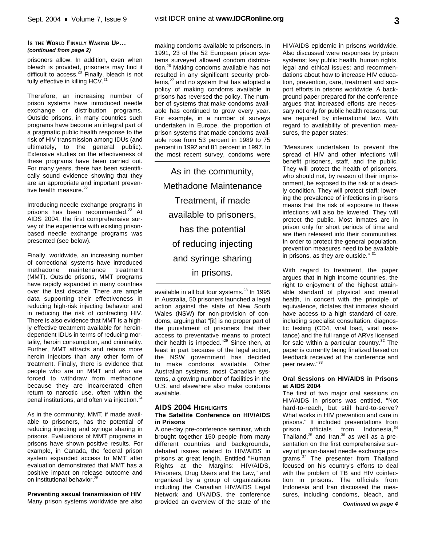### **IS THE WORLD FINALLY WAKING UP...** *(continued from page 2)*

prisoners allow. In addition, even when bleach is provided, prisoners may find it difficult to access.<sup>20</sup> Finally, bleach is not fully effective in killing HCV.<sup>21</sup>

Therefore, an increasing number of prison systems have introduced needle exchange or distribution programs. Outside prisons, in many countries such programs have become an integral part of a pragmatic public health response to the risk of HIV transmission among IDUs (and ultimately, to the general public). Extensive studies on the effectiveness of these programs have been carried out. For many years, there has been scientifically sound evidence showing that they are an appropriate and important preventive health measure.<sup>22</sup>

Introducing needle exchange programs in prisons has been recommended.<sup>23</sup> At AIDS 2004, the first comprehensive survey of the experience with existing prisonbased needle exchange programs was presented (see below).

Finally, worldwide, an increasing number of correctional systems have introduced methadone maintenance treatment (MMT). Outside prisons, MMT programs have rapidly expanded in many countries over the last decade. There are ample data supporting their effectiveness in reducing high-risk injecting behavior and in reducing the risk of contracting HIV. There is also evidence that MMT is a highly effective treatment available for heroindependent IDUs in terms of reducing mortality, heroin consumption, and criminality. Further, MMT attracts and retains more heroin injectors than any other form of treatment. Finally, there is evidence that people who are on MMT and who are forced to withdraw from methadone because they are incarcerated often return to narcotic use, often within the penal institutions, and often via injection. 24

As in the community, MMT, if made available to prisoners, has the potential of reducing injecting and syringe sharing in prisons. Evaluations of MMT programs in prisons have shown positive results. For example, in Canada, the federal prison system expanded access to MMT after evaluation demonstrated that MMT has a positive impact on release outcome and on institutional behavior. 25

**Preventing sexual transmission of HIV** Many prison systems worldwide are also making condoms available to prisoners. In 1991, 23 of the 52 European prison systems surveyed allowed condom distribution. <sup>26</sup> Making condoms available has not resulted in any significant security problems,<sup>27</sup> and no system that has adopted a policy of making condoms available in prisons has reversed the policy. The number of systems that make condoms available has continued to grow every year. For example, in a number of surveys undertaken in Europe, the proportion of prison systems that made condoms available rose from 53 percent in 1989 to 75 percent in 1992 and 81 percent in 1997. In the most recent survey, condoms were

As in the community, Methadone Maintenance Treatment, if made available to prisoners, has the potential of reducing injecting and syringe sharing in prisons.

available in all but four systems.<sup>28</sup> In 1995 in Australia, 50 prisoners launched a legal action against the state of New South Wales (NSW) for non-provision of condoms, arguing that "[it] is no proper part of the punishment of prisoners that their access to preventative means to protect their health is impeded."<sup>29</sup> Since then, at least in part because of the legal action, the NSW government has decided to make condoms available. Other Australian systems, most Canadian systems, a growing number of facilities in the U.S. and elsewhere also make condoms available.

### **AIDS 2004 HIGHLIGHTS The Satellite Conference on HIV/AIDS in Prisons**

A one-day pre-conference seminar, which brought together 150 people from many different countries and backgrounds, debated issues related to HIV/AIDS in prisons at great length. Entitled "Human Rights at the Margins: HIV/AIDS, Prisoners, Drug Users and the Law," and organized by a group of organizations including the Canadian HIV/AIDS Legal Network and UNAIDS, the conference provided an overview of the state of the HIV/AIDS epidemic in prisons worldwide. Also discussed were responses by prison systems; key public health, human rights, legal and ethical issues; and recommendations about how to increase HIV education, prevention, care, treatment and support efforts in prisons worldwide. A background paper prepared for the conference argues that increased efforts are necessary not only for public health reasons, but are required by international law. With regard to availability of prevention measures, the paper states:

"Measures undertaken to prevent the spread of HIV and other infections will benefit prisoners, staff, and the public. They will protect the health of prisoners, who should not, by reason of their imprisonment, be exposed to the risk of a deadly condition. They will protect staff: lowering the prevalence of infections in prisons means that the risk of exposure to these infections will also be lowered. They will protect the public. Most inmates are in prison only for short periods of time and are then released into their communities. In order to protect the general population, prevention measures need to be available in prisons, as they are outside."  $3$ 

With regard to treatment, the paper argues that in high income countries, the right to enjoyment of the highest attainable standard of physical and mental health, in concert with the principle of equivalence, dictates that inmates should have access to a high standard of care, including specialist consultation, diagnostic testing (CD4, viral load, viral resistance) and the full range of ARVs licensed for sale within a particular country.<sup>32</sup> The paper is currently being finalized based on feedback received at the conference and peer review." 33

### **Oral Sessions on HIV/AIDS in Prisons at AIDS 2004**

The first of two major oral sessions on HIV/AIDS in prisons was entitled, "Not hard-to-reach, but still hard-to-serve? What works in HIV prevention and care in prisons." It included presentations from prison officials from Indonesia, <sup>34</sup> Thailand, $35$  and Iran, $36$  as well as a presentation on the first comprehensive survey of prison-based needle exchange programs.<sup>37</sup> The presenter from Thailand focused on his country's efforts to deal with the problem of TB and HIV coinfection in prisons. The officials from Indonesia and Iran discussed the measures, including condoms, bleach, and

*Continued on page 4*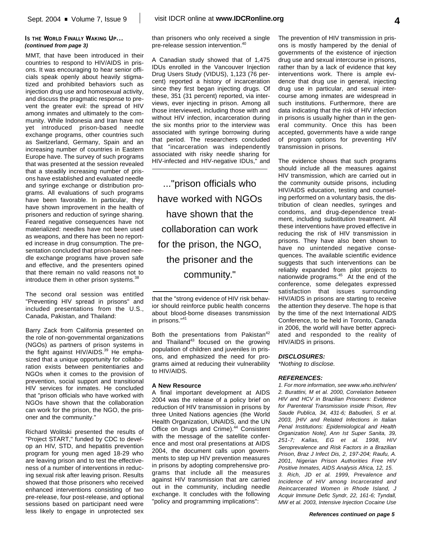### **IS THE WORLD FINALLY WAKING UP...** *(continued from page 3)*

MMT, that have been introduced in their countries to respond to HIV/AIDS in prisons. It was encouraging to hear senior officials speak openly about heavily stigmatized and prohibited behaviors such as injection drug use and homosexual activity, and discuss the pragmatic response to prevent the greater evil: the spread of HIV among inmates and ultimately to the community. While Indonesia and Iran have not yet introduced prison-based needle exchange programs, other countries such as Switzerland, Germany, Spain and an increasing number of countries in Eastern Europe have. The survey of such programs that was presented at the session revealed that a steadily increasing number of prisons have established and evaluated needle and syringe exchange or distribution programs. All evaluations of such programs have been favorable. In particular, they have shown improvement in the health of prisoners and reduction of syringe sharing. Feared negative consequences have not materialized: needles have not been used as weapons, and there has been no reported increase in drug consumption. The presentation concluded that prison-based needle exchange programs have proven safe and effective, and the presenters opined that there remain no valid reasons not to introduce them in other prison systems.<sup>38</sup>

The second oral session was entitled "Preventing HIV spread in prisons" and included presentations from the U.S., Canada, Pakistan, and Thailand:

Barry Zack from California presented on the role of non-governmental organizations (NGOs) as partners of prison systems in the fight against HIV/AIDS.<sup>39</sup> He emphasized that a unique opportunity for collaboration exists between penitentiaries and NGOs when it comes to the provision of prevention, social support and transitional HIV services for inmates. He concluded that "prison officials who have worked with NGOs have shown that the collaboration can work for the prison, the NGO, the prisoner and the community."

Richard Wolitski presented the results of "Project START," funded by CDC to develop an HIV, STD, and hepatitis prevention program for young men aged 18-29 who are leaving prison and to test the effectiveness of a number of interventions in reducing sexual risk after leaving prison. Results showed that those prisoners who received enhanced interventions consisting of two pre-release, four post-release, and optional sessions based on participant need were less likely to engage in unprotected sex than prisoners who only received a single pre-release session intervention. 40

A Canadian study showed that of 1,475 IDUs enrolled in the Vancouver Injection Drug Users Study (VIDUS), 1,123 (76 percent) reported a history of incarceration since they first began injecting drugs. Of these, 351 (31 percent) reported, via interviews, ever injecting in prison. Among all those interviewed, including those with and without HIV infection, incarceration during the six months prior to the interview was associated with syringe borrowing during that period. The researchers concluded that "incarceration was independently associated with risky needle sharing for HIV-infected and HIV-negative IDUs," and

..."prison officials who have worked with NGOs have shown that the collaboration can work for the prison, the NGO, the prisoner and the community."

Both the presentations from Pakistan<sup>42</sup> and Thailand<sup>43</sup> focused on the growing population of children and juveniles in prisons, and emphasized the need for programs aimed at reducing their vulnerability to HIV/AIDS.

### **A New Resource**

A final important development at AIDS 2004 was the release of a policy brief on reduction of HIV transmission in prisons by three United Nations agencies (the World Health Organization, UNAIDS, and the UN Office on Drugs and Crime).<sup>44</sup> Consistent with the message of the satellite conference and most oral presentations at AIDS 2004, the document calls upon governments to step up HIV prevention measures in prisons by adopting comprehensive programs that include all the measures against HIV transmission that are carried out in the community, including needle exchange. It concludes with the following "policy and programming implications":

The prevention of HIV transmission in prisons is mostly hampered by the denial of governments of the existence of injection drug use and sexual intercourse in prisons, rather than by a lack of evidence that key interventions work. There is ample evidence that drug use in general, injecting drug use in particular, and sexual intercourse among inmates are widespread in such institutions. Furthermore, there are data indicating that the risk of HIV infection in prisons is usually higher than in the general community. Once this has been accepted, governments have a wide range of program options for preventing HIV transmission in prisons.

The evidence shows that such programs should include all the measures against HIV transmission, which are carried out in the community outside prisons, including HIV/AIDS education, testing and counseling performed on a voluntary basis, the distribution of clean needles, syringes and condoms, and drug-dependence treatment, including substitution treatment. All these interventions have proved effective in reducing the risk of HIV transmission in prisons. They have also been shown to have no unintended negative consequences. The available scientific evidence suggests that such interventions can be reliably expanded from pilot projects to nationwide programs. <sup>45</sup> At the end of the conference, some delegates expressed satisfaction that issues surrounding HIV/AIDS in prisons are starting to receive the attention they deserve. The hope is that by the time of the next International AIDS Conference, to be held in Toronto, Canada in 2006, the world will have better appreciated and responded to the reality of HIV/AIDS in prisons.

### *DISCLOSURES:*

*\*Nothing to disclose.*

### *REFERENCES:*

*1. For more information, see www.who.int/hiv/en/ 2. Burattini, M et al. 2000, Correlation between HIV and HCV in Brazilian Prisoners: Evidence for Parenteral Transmission inside Prison, Rev Saude Publica, 34, 431-6; Babudieri, S et al. 2003, [HIV and Related Infections in Italian Penal Institutions: Epidemiological and Health Organization Note], Ann Ist Super Sanita, 39, 251-7; Kallas, EG et al. 1998, HIV Seroprevalence and Risk Factors in a Brazilian Prison, Braz J Infect Dis, 2, 197-204; Raufu, A. 2001, Nigerian Prison Authorities Free HIV Positive Inmates, AIDS Analysis Africa, 12, 15. 3. Rich, JD et al. 1999, Prevalence and Incidence of HIV among Incarcerated and Reincarcerated Women in Rhode Island, J Acquir Immune Defic Syndr, 22, 161-6; Tyndall, MW et al. 2003, Intensive Injection Cocaine Use*

that the "strong evidence of HIV risk behavior should reinforce public health concerns about blood-borne diseases transmission in prisons." 41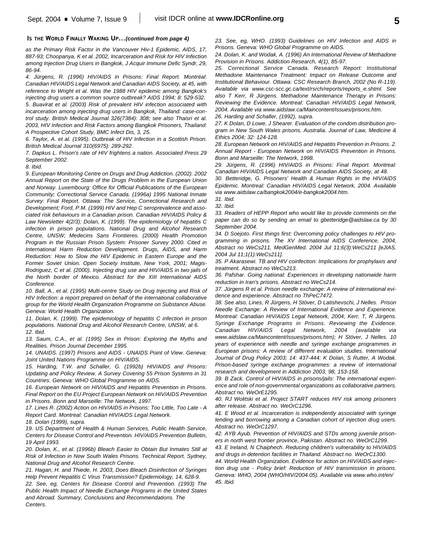## **IS THE WORLD FINALLY WAKING UP...***(continued from page 4)*

*as the Primary Risk Factor in the Vancouver Hiv-1 Epidemic, AIDS, 17, 887-93; Choopanya, K et al. 2002, Incarceration and Risk for HIV Infection among Injection Drug Users in Bangkok, J Acquir Immune Defic Syndr, 29, 86-94.*

*4. Jürgens, R. (1996) HIV/AIDS in Prisons: Final Report. Montréal: Canadian HIV/AIDS Legal Network and Canadian AIDS Society, at 45, with reference to Wright et al. Was the 1988 HIV epidemic among Bangkok's injecting drug users a common source outbreak? AIDS 1994; 8: 529-532. 5. Buavirat et al. (2003) Risk of prevalent HIV infection associated with incarceration among injecting drug users in Bangkok, Thailand: case-control study. British Medical Journal 326(7384): 308; see also Thaisri et al. 2003, HIV Infection and Risk Factors among Bangkok Prisoners, Thailand: A Prospective Cohort Study, BMC Infect Dis, 3, 25.*

*6. Taylor, A. et al. (1995). Outbreak of HIV Infection in a Scottish Prison. British Medical Journal 310(6975): 289-292.*

*7. Dapkus L. Prison's rate of HIV frightens a nation. Associated Press 29 September 2002.*

*8. Ibid.*

*9. European Monitoring Centre on Drugs and Drug Addiction. (2002). 2002 Annual Report on the State of the Drugs Problem in the European Union and Norway. Luxembourg: Office for Official Publications of the European Community; Correctional Service Canada. (1996a) 1995 National Inmate Survey: Final Report. Ottawa: The Service, Correctional Research and Development; Ford, P.M. (1999) HIV and Hep C seroprevalence and associated risk behaviours in a Canadian prison. Canadian HIV/AIDS Policy & Law Newsletter 4(2/3); Dolan, K. (1999). The epidemiology of hepatitis C infection in prison populations. National Drug and Alcohol Research Centre, UNSW; Medecins Sans Frontieres. (2000) Health Promotion Program in the Russian Prison System: Prisoner Survey 2000. Cited in International Harm Reduction Development. Drugs, AIDS, and Harm Reduction: How to Slow the HIV Epidemic in Eastern Europe and the Former Soviet Union. Open Society Institute, New York, 2001; Magis-Rodriguez, C et al. (2000). Injecting drug use and HIV/AIDS in two jails of the North border of Mexico. Abstract for the XIII International AIDS Conference.*

*10. Ball, A., et al. (1995) Multi-centre Study on Drug Injecting and Risk of HIV Infection: a report prepared on behalf of the international collaborative group for the World Health Organization Programme on Substance Abuse. Geneva: World Health Organization.*

*11. Dolan, K. (1999). The epidemiology of hepatitis C infection in prison populations. National Drug and Alcohol Research Centre, UNSW, at 6. 12. Ibid.*

*13. Saum, C.A., et al. (1995) Sex in Prison: Exploring the Myths and Realities. Prison Journal December 1995.*

*14. UNAIDS. (1997) Prisons and AIDS - UNAIDS Point of View. Geneva: Joint United Nations Programme on HIV/AIDS.*

*15. Harding, T.W. and Schaller, G. (1992b) HIV/AIDS and Prisons: Updating and Policy Review. A Survey Covering 55 Prison Systems in 31 Countries. Geneva: WHO Global Programme on AIDS.*

*16. European Network on HIV/AIDS and Hepatitis Prevention in Prisons. Final Report on the EU Project European Network on HIV/AIDS Prevention in Prisons. Bonn and Marseille: The Network, 1997.*

*17. Lines R. (2002) Action on HIV/AIDS in Prisons: Too Little, Too Late - A Report Card. Montreal: Canadian HIV/AIDS Legal Network.*

*18. Dolan (1999), supra.*

*19. US Department of Health & Human Services, Public Health Service, Centers for Disease Control and Prevention. HIV/AIDS Prevention Bulletin, 19 April 1993.*

*20. Dolan, K., et al. (1996b) Bleach Easier to Obtain But Inmates Still at Risk of Infection in New South Wales Prisons. Technical Report. Sydney, National Drug and Alcohol Research Centre.*

*21. Hagan, H. and Thiede, H. 2003, Does Bleach Disinfection of Syringes Help Prevent Hepatitis C Virus Transmission? Epidemiology, 14, 628-9.*

*22. See, eg, Centers for Disease Control and Prevention. (1993) The Public Health Impact of Needle Exchange Programs in the United States and Abroad. Summary, Conclusions and Recommendations. The Centers.*

*23. See, eg, WHO. (1993) Guidelines on HIV Infection and AIDS in Prisons. Geneva: WHO Global Programme on AIDS.*

*24. Dolan, K. and Wodak, A. (1996) An International Review of Methadone Provision in Prisons. Addiction Research, 4(1), 85-97.*

*25. Correctional Service Canada. Research Report: Institutional Methadone Maintenance Treatment: Impact on Release Outcome and Institutional Behaviour. Ottawa: CSC Research Branch, 2002 (No R-119). Available via www.csc-scc.gc.ca/text/rsrch/reports/reports\_e.shtml. See also T Kerr, R Jürgens. Methadone Maintenance Therapy in Prisons: Reviewing the Evidence. Montreal: Canadian HIV/AIDS Legal Network, 2004. Available via www.aidslaw.ca/Maincontent/issues/prisons.htm. 26. Harding and Schaller, (1992), supra.*

*27. K Dolan, D Lowe, J Shearer. Evaluation of the condom distribution program in New South Wales prisons, Australia. Journal of Law, Medicine & Ethics 2004; 32: 124-128.*

*28. European Network on HIV/AIDS and Hepatitis Prevention in Prisons. 2. Annual Report - European Network on HIV/AIDS Prevention in Prisons. Bonn and Marseille: The Network, 1998.*

*29. Jürgens, R. (1996) HIV/AIDS in Prisons: Final Report. Montreal: Canadian HIV/AIDS Legal Network and Canadian AIDS Society, at 48.*

*30. Betteridge, G. Prisoners' Health & Human Rights in the HIV/AIDS Epidemic. Montreal: Canadian HIV/AIDS Legal Network, 2004. Available via www.aidslaw.ca/bangkok2004/e-bangkok2004.htm.*

*31. Ibid.*

*32. Ibid.*

*33. Readers of HEPP Report who would like to provide comments on the paper can do so by sending an email to gbetteridge@aidslaw.ca by 30 September 2004.*

*34. D Soejoto. First things first: Overcoming policy challenges to HIV programming in prisons. The XV International AIDS Conference, 2004, Abstract no WeCs211, MedGenMed. 2004 Jul 11;6(3):WeCs211 [eJIAS. 2004 Jul 11;1(1):WeCs211].*

*35. P Akarasewi. TB and HIV coinfection: Implications for prophylaxis and treatment. Abstract no WeCs213.*

*36. Pafshar. Going national: Experiences in developing nationwide harm reduction in Iran's prisons. Abstract no WeCs214.*

*37. Jürgens R et al. Prison needle exchange: A review of international evidence and experience. Abstract no ThPeC7472.*

*38. See also, Lines, R Jürgens, H Stöver, D Latishevschi, J Nelles. Prison Needle Exchange: A Review of International Evidence and Experience. Montreal: Canadian HIV/AIDS Legal Network, 2004; Kerr, T, R Jürgens. Syringe Exchange Programs in Prisons. Reviewing the Evidence. Canadian HIV/AIDS Legal Network, 2004 (available via www.aidslaw.ca/Maincontent/issues/prisons.htm); H Stöver, J Nelles. 10 years of experience with needle and syringe exchange programmes in European prisons: A review of different evaluation studies. International Journal of Drug Policy 2003; 14: 437-444; K Dolan, S Rutter, A Wodak. Prison-based syringe exchange programmes: a review of international research and development in Addiction 2003, 98, 153-158.*

*39. B Zack. Control of HIV/AIDS in prisons/jails: The international experience and role of non-governmental organizations as collaborative partners. Abstract no. WeOrE1295.*

*40. RJ Wolitski et al. Project START reduces HIV risk among prisoners after release. Abstract no. WeOrC1296.*

*41. E Wood et al. Incarceration is independently associated with syringe lending and borrowing among a Canadian cohort of injection drug users. Abstract no. WeOrC1297.*

*42. AYB Ayub. Prevention of HIV/AIDS and STDs among juvenile prisoners in north west frontier province, Pakistan. Abstract no. WeOrC1299.*

*43. E Ireland, N Chaiphech. Reducing children's vulnerability to HIV/AIDS and drugs in detention facilities in Thailand. Abstract no. WeOrC1300.*

*44. World Health Organization. Evidence for action on HIV/AIDS and injection drug use - Policy brief: Reduction of HIV transmission in prisons. Geneva: WHO, 2004 (WHO/HIV/2004.05). Available via www.who.int/en/ 45. Ibid.*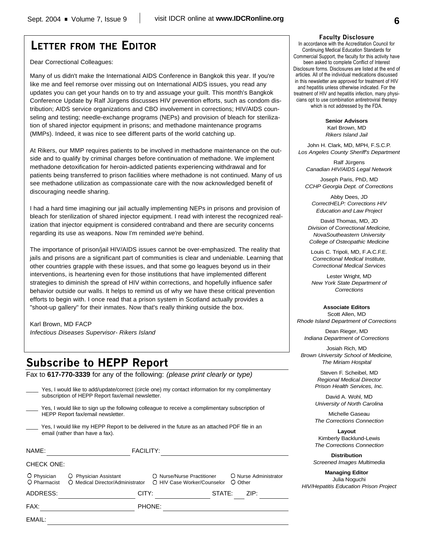# **LETTER FROM THE EDITOR**

Dear Correctional Colleagues:

Many of us didn't make the International AIDS Conference in Bangkok this year. If you're like me and feel remorse over missing out on International AIDS issues, you read any updates you can get your hands on to try and assuage your guilt. This month's Bangkok Conference Update by Ralf Jürgens discusses HIV prevention efforts, such as condom distribution; AIDS service organizations and CBO involvement in corrections; HIV/AIDS counseling and testing; needle-exchange programs (NEPs) and provision of bleach for sterilization of shared injector equipment in prisons; and methadone maintenance programs (MMPs). Indeed, it was nice to see different parts of the world catching up.

At Rikers, our MMP requires patients to be involved in methadone maintenance on the outside and to qualify by criminal charges before continuation of methadone. We implement methadone detoxification for heroin-addicted patients experiencing withdrawal and for patients being transferred to prison facilities where methadone is not continued. Many of us see methadone utilization as compassionate care with the now acknowledged benefit of discouraging needle sharing.

I had a hard time imagining our jail actually implementing NEPs in prisons and provision of bleach for sterilization of shared injector equipment. I read with interest the recognized realization that injector equipment is considered contraband and there are security concerns regarding its use as weapons. Now I'm reminded *we're* behind.

The importance of prison/jail HIV/AIDS issues cannot be over-emphasized. The reality that jails and prisons are a significant part of communities is clear and undeniable. Learning that other countries grapple with these issues, and that some go leagues beyond us in their interventions, is heartening even for those institutions that have implemented different strategies to diminish the spread of HIV within corrections, and hopefully influence safer behavior outside our walls. It helps to remind us of why we have these critical prevention efforts to begin with. I once read that a prison system in Scotland actually provides a "shoot-up gallery" for their inmates. Now that's really thinking outside the box.

## Karl Brown, MD FACP

*Infectious Diseases Supervisor- Rikers Island*

# **Subscribe to HEPP Report**

Fax to **617-770-3339** for any of the following: *(please print clearly or type)*

| EMAIL:                      |                                                                                                                                                       |                  |                                                           |                                  |
|-----------------------------|-------------------------------------------------------------------------------------------------------------------------------------------------------|------------------|-----------------------------------------------------------|----------------------------------|
| FAX:                        |                                                                                                                                                       | PHONE:           |                                                           |                                  |
| ADDRESS:                    |                                                                                                                                                       | CITY:            | STATE:                                                    | ZIP:                             |
| O Physician<br>O Pharmacist | <b>Physician Assistant</b><br>O Medical Director/Administrator                                                                                        |                  | O Nurse/Nurse Practitioner<br>O HIV Case Worker/Counselor | O Nurse Administrator<br>O Other |
| <b>CHECK ONE:</b>           |                                                                                                                                                       |                  |                                                           |                                  |
| NAME:                       |                                                                                                                                                       | <b>FACILITY:</b> |                                                           |                                  |
|                             | Yes, I would like my HEPP Report to be delivered in the future as an attached PDF file in an<br>email (rather than have a fax).                       |                  |                                                           |                                  |
|                             | Yes, I would like to sign up the following colleague to receive a complimentary subscription of<br>HEPP Report fax/email newsletter.                  |                  |                                                           |                                  |
|                             | Yes, I would like to add/update/correct (circle one) my contact information for my complimentary<br>subscription of HEPP Report fax/email newsletter. |                  |                                                           |                                  |

#### **Faculty Disclosure**

In accordance with the Accreditation Council for Continuing Medical Education Standards for Commercial Support, the faculty for this activity have been asked to complete Conflict of Interest Disclosure forms. Disclosures are listed at the end of articles. All of the individual medications discussed in this newsletter are approved for treatment of HIV and hepatitis unless otherwise indicated. For the treatment of HIV and hepatitis infection, many physicians opt to use combination antiretroviral therapy which is not addressed by the FDA.

**Senior Advisors**

Karl Brown, MD *Rikers Island Jail*

John H. Clark, MD, MPH, F.S.C.P. *Los Angeles County Sheriff's Department*

Ralf Jürgens *Canadian HIV/AIDS Legal Network*

Joseph Paris, PhD, MD *CCHP Georgia Dept. of Corrections*

Abby Dees, JD *CorrectHELP: Corrections HIV Education and Law Project*

David Thomas, MD, JD *Division of Correctional Medicine, NovaSoutheastern University College of Osteopathic Medicine*

Louis C. Tripoli, MD, F.A.C.F.E. *Correctional Medical Institute, Correctional Medical Services*

Lester Wright, MD *New York State Department of Corrections*

#### **Associate Editors** Scott Allen, MD

*Rhode Island Department of Corrections*

Dean Rieger, MD *Indiana Department of Corrections*

Josiah Rich, MD *Brown University School of Medicine, The Miriam Hospital*

> Steven F. Scheibel, MD *Regional Medical Director Prison Health Services, Inc.*

> David A. Wohl, MD *University of North Carolina*

> Michelle Gaseau *The Corrections Connection*

> **Layout** Kimberly Backlund-Lewis *The Corrections Connection*

**Distribution** *Screened Images Multimedia*

**Managing Editor** Julia Noguchi *HIV/Hepatitis Education Prison Project*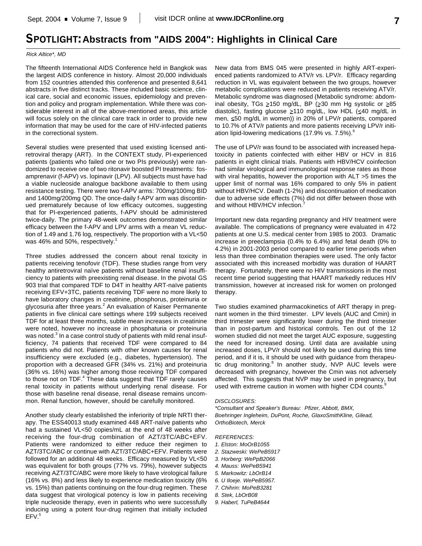## **SPOTLIGHT:Abstracts from "AIDS 2004": Highlights in Clinical Care**

#### *Rick Altice\*, MD*

The fifteenth International AIDS Conference held in Bangkok was the largest AIDS conference in history. Almost 20,000 individuals from 152 countries attended this conference and presented 8,641 abstracts in five distinct tracks. These included basic science, clinical care, social and economic issues, epidemiology and prevention and policy and program implementation. While there was considerable interest in all of the above-mentioned areas, this article will focus solely on the clinical care track in order to provide new information that may be used for the care of HIV-infected patients in the correctional system.

Several studies were presented that used existing licensed antiretroviral therapy (ART). In the CONTEXT study, PI-experienced patients (patients who failed one or two PIs previously) were randomized to receive one of two ritonavir boosted PI treatments: fosamprenavir (f-APV) vs. lopinavir (LPV). All subjects must have had a viable nucleoside analogue backbone available to them using resistance testing. There were two f-APV arms: 700mg/100mg BID and 1400mg/200mg QD. The once-daily f-APV arm was discontinued prematurely because of low efficacy outcomes, suggesting that for PI-experienced patients, f-APV should be administered twice-daily. The primary 48-week outcomes demonstrated similar efficacy between the f-APV and LPV arms with a mean VL reduction of 1.49 and 1.76 log, respectively. The proportion with a VL<50 was 46% and 50%, respectively.<sup>1</sup>

Three studies addressed the concern about renal toxicity in patients receiving tenofovir (TDF). These studies range from very healthy antiretroviral naïve patients without baseline renal insufficiency to patients with preexisting renal disease. In the pivotal GS 903 trial that compared TDF to D4T in healthy ART-naïve patients receiving EFV+3TC, patients receiving TDF were no more likely to have laboratory changes in creatinine, phosphorus, proteinuria or glycosuria after three years.<sup>2</sup> An evaluation of Kaiser Permanente patients in five clinical care settings where 199 subjects received TDF for at least three months, subtle mean increases in creatinine were noted, however no increase in phosphaturia or proteinuria was noted.<sup>3</sup> In a case control study of patients with mild renal insufficiency, 74 patients that received TDF were compared to 84 patients who did not. Patients with other known causes for renal insufficiency were excluded (e.g., diabetes, hypertension). The proportion with a decreased GFR (34% vs. 21%) and proteinuria (36% vs. 16%) was higher among those receiving TDF compared to those not on TDF.<sup>4</sup> These data suggest that TDF rarely causes renal toxicity in patients without underlying renal disease. For those with baseline renal disease, renal disease remains uncommon. Renal function, however, should be carefully monitored.

Another study clearly established the inferiority of triple NRTI therapy. The ESS40013 study examined 448 ART-naïve patients who had a sustained VL<50 copies/mL at the end of 48 weeks after receiving the four-drug combination of AZT/3TC/ABC+EFV. Patients were randomized to either reduce their regimen to AZT/3TC/ABC or continue with AZT/3TC/ABC+EFV. Patients were followed for an additional 48 weeks. Efficacy measured by VL<50 was equivalent for both groups (77% vs. 79%), however subjects receiving AZT/3TC/ABC were more likely to have virological failure (16% vs. 8%) and less likely to experience medication toxicity (6% vs. 15%) than patients continuing on the four-drug regimen. These data suggest that virological potency is low in patients receiving triple nucleoside therapy, even in patients who were successfully inducing using a potent four-drug regimen that initially included EFV. 5

New data from BMS 045 were presented in highly ART-experienced patients randomized to ATV/r vs. LPV/r. Efficacy regarding reduction in VL was equivalent between the two groups, however metabolic complications were reduced in patients receiving ATV/r. Metabolic syndrome was diagnosed (Metabolic syndrome: abdominal obesity, TGs  $\geq$ 150 mg/dL, BP ( $\geq$ 30 mm Hg systolic or  $\geq$ 85 diastolic), fasting glucose >110 mg/dL, low HDL (<40 mg/dL in men, <50 mg/dL in women)) in 20% of LPV/r patients, compared to 10.7% of ATV/r patients and more patients receiving LPV/r initiation lipid-lowering medications (17.9% vs. 7.5%). 6

The use of LPV/r was found to be associated with increased hepatoxicity in patients coinfected with either HBV or HCV in 816 patients in eight clinical trials. Patients with HBV/HCV coinfection had similar virological and immunological response rates as those with viral hepatitis, however the proportion with ALT >5 times the upper limit of normal was 16% compared to only 5% in patient without HBV/HCV. Death (1-2%) and discontinuation of medication due to adverse side effects (7%) did not differ between those with and without HBV/HCV infection.<sup>7</sup>

Important new data regarding pregnancy and HIV treatment were available. The complications of pregnancy were evaluated in 472 patients at one U.S. medical center from 1985 to 2003. Dramatic increase in preeclampsia (0.4% to 6.4%) and fetal death (0% to 4.2%) in 2001-2003 period compared to earlier time periods when less than three combination therapies were used. The only factor associated with this increased morbidity was duration of HAART therapy. Fortunately, there were no HIV transmissions in the most recent time period suggesting that HAART markedly reduces HIV transmission, however at increased risk for women on prolonged therapy.

Two studies examined pharmacokinetics of ART therapy in pregnant women in the third trimester. LPV levels (AUC and Cmin) in third trimester were significantly lower during the third trimester than in post-partum and historical controls. Ten out of the 12 women studied did not meet the target AUC exposure, suggesting the need for increased dosing. Until data are available using increased doses, LPV/r should not likely be used during this time period, and if it is, it should be used with guidance from therapeutic drug monitoring.<sup>8</sup> In another study, NVP AUC levels were decreased with pregnancy, however the Cmin was not adversely affected. This suggests that NVP may be used in pregnancy, but used with extreme caution in women with higher CD4 counts.<sup>9</sup>

#### *DISCLOSURES:*

*\*Consultant and Speaker's Bureau: Pfizer, Abbott, BMX, Boehringer Ingleheim, DuPont, Roche, GlaxoSmithKline, Gilead, OrthoBiotech, Merck*

#### *REFERENCES:*

- *1. Elston: MoOrB1055*
- *2. Stazweski: WePeB5917*
- *3. Horberg: WePpB2066*
- *4. Mauss: WePeB5941*
- *5. Markowitz: LbOrB14*
- *6. U Iloeje. WePeB5957.*
- *7. Chihrin: MoPeB3281*
- *8. Stek, LbOrB08*
- *9. Haberl, TuPeB4644*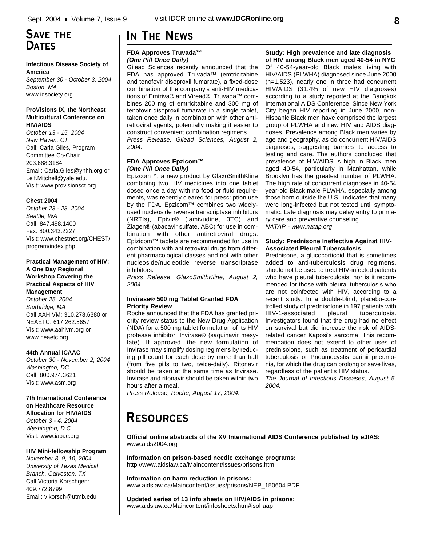## **Infectious Disease Society of America**

*September 30 - October 3, 2004 Boston, MA* www.idsociety.org

## **ProVisions IX, the Northeast Multicultural Conference on HIV/AIDS**

*October 13 - 15, 2004 New Haven, CT* Call: Carla Giles, Program Committee Co-Chair 203.688.3184 Email: Carla.Giles@ynhh.org or Leif.Mitchell@yale.edu. Visit: www.provisionsct.org

## **Chest 2004**

*October 23 - 28, 2004 Seattle, WA* Call: 847.498.1400 Fax: 800.343.2227 Visit: www.chestnet.org/CHEST/ program/index.php.

## **Practical Management of HIV: A One Day Regional Workshop Covering the Practical Aspects of HIV Management**  *October 25, 2004*

*Sturbridge, MA* Call AAHIVM: 310.278.6380 or NEAETC: 617.262.5657 Visit: www.aahivm.org or www.neaetc.org.

## **44th Annual ICAAC**

*October 30 - November 2, 2004 Washington, DC* Call: 800.974.3621 Visit: www.asm.org

## **7th International Conference on Healthcare Resource Allocation for HIV/AIDS** *October 3 - 4, 2004 Washington, D.C.*

Visit: www.iapac.org

## **HIV Mini-fellowship Program**

*November 8, 9, 10, 2004 University of Texas Medical Branch, Galveston, TX* Call Victoria Korschgen: 409.772.8799 Email: vikorsch@utmb.edu

# **IN THE NEWS**

## **FDA Approves Truvada™** *(One Pill Once Daily)*

Gilead Sciences recently announced that the FDA has approved Truvada™ (emtricitabine and tenofovir disoproxil fumarate), a fixed-dose combination of the company's anti-HIV medications of Emtriva® and Viread®. Truvada™ combines 200 mg of emtricitabine and 300 mg of tenofovir disoproxil fumarate in a single tablet, taken once daily in combination with other antiretroviral agents, potentially making it easier to construct convenient combination regimens. *Press Release, Gilead Sciences, August 2, 2004.*

## **FDA Approves Epzicom™** *(One Pill Once Daily)*

Epizcom™, a new product by GlaxoSmithKline combining two HIV medicines into one tablet dosed once a day with no food or fluid requirements, was recently cleared for prescription use by the FDA. Epzicom™ combines two widelyused nucleoside reverse transcriptase inhibitors (NRTIs), Epivir® (lamivudine, 3TC) and Ziagen® (abacavir sulfate, ABC) for use in combination with other antiretroviral drugs. Epizicom™ tablets are recommended for use in combination with antiretroviral drugs from different pharmacological classes and not with other nucleoside/nucleotide reverse transcriptase inhibitors.

*Press Release, GlaxoSmithKline, August 2, 2004.*

## **Invirase® 500 mg Tablet Granted FDA Priority Review**

Roche announced that the FDA has granted priority review status to the New Drug Application (NDA) for a 500 mg tablet formulation of its HIV protease inhibitor, Invirase® (saquinavir mesylate). If approved, the new formulation of Invirase may simplify dosing regimens by reducing pill count for each dose by more than half (from five pills to two, twice-daily). Ritonavir should be taken at the same time as Invirase. Invirase and ritonavir should be taken within two hours after a meal.

*Press Release, Roche, August 17, 2004.*

# **RESOURCES**

**Official online abstracts of the XV International AIDS Conference published by eJIAS:** www.aids2004.org

**Information on prison-based needle exchange programs:** http://www.aidslaw.ca/Maincontent/issues/prisons.htm

**Information on harm reduction in prisons:** www.aidslaw.ca/Maincontent/issues/prisons/NEP\_150604.PDF

**Updated series of 13 info sheets on HIV/AIDS in prisons:** www.aidslaw.ca/Maincontent/infosheets.htm#isohaap

### **Study: High prevalence and late diagnosis of HIV among Black men aged 40-54 in NYC**

Of 40-54-year-old Black males living with HIV/AIDS (PLWHA) diagnosed since June 2000 (n=1,523), nearly one in three had concurrent HIV/AIDS (31.4% of new HIV diagnoses) according to a study reported at the Bangkok International AIDS Conference. Since New York City began HIV reporting in June 2000, non-Hispanic Black men have comprised the largest group of PLWHA and new HIV and AIDS diagnoses. Prevalence among Black men varies by age and geography, as do concurrent HIV/AIDS diagnoses, suggesting barriers to access to testing and care. The authors concluded that prevalence of HIV/AIDS is high in Black men aged 40-54, particularly in Manhattan, while Brooklyn has the greatest number of PLWHA. The high rate of concurrent diagnoses in 40-54 year-old Black male PLWHA, especially among those born outside the U.S., indicates that many were long-infected but not tested until symptomatic. Late diagnosis may delay entry to primary care and preventive counseling. *NATAP - www.natap.org*

### **Study: Prednisone Ineffective Against HIV-Associated Pleural Tuberculosis**

Prednisone, a glucocorticoid that is sometimes added to anti-tuberculosis drug regimens, should not be used to treat HIV-infected patients who have pleural tuberculosis, nor is it recommended for those with pleural tuberculosis who are not coinfected with HIV, according to a recent study. In a double-blind, placebo-controlled study of prednisolone in 197 patients with HIV-1-associated pleural tuberculosis. Investigators found that the drug had no effect on survival but did increase the risk of AIDSrelated cancer Kaposi's sarcoma. This recommendation does not extend to other uses of prednisolone, such as treatment of pericardial tuberculosis or Pneumocystis carinii pneumonia, for which the drug can prolong or save lives, regardless of the patient's HIV status.

*The Journal of Infectious Diseases, August 5, 2004.*